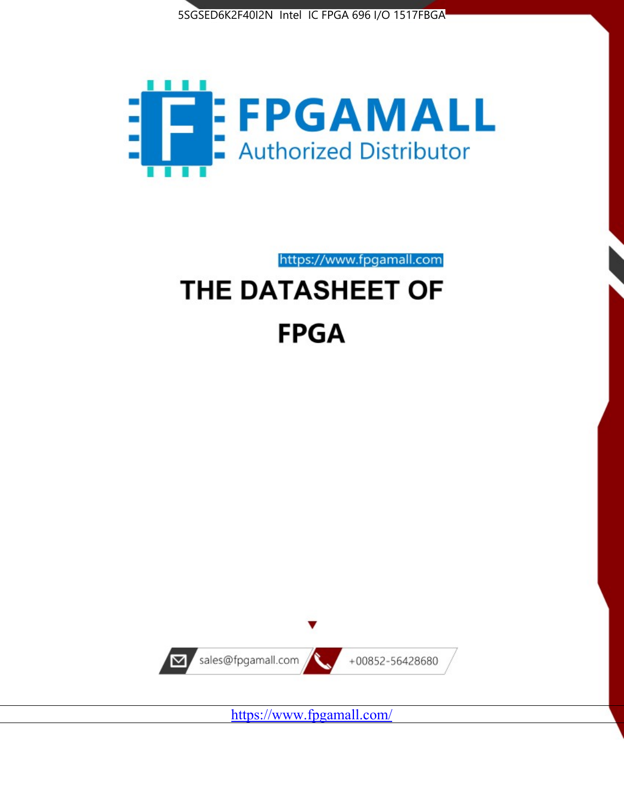



https://www.fpgamall.com

# THE DATASHEET OF **FPGA**



<https://www.fpgamall.com/>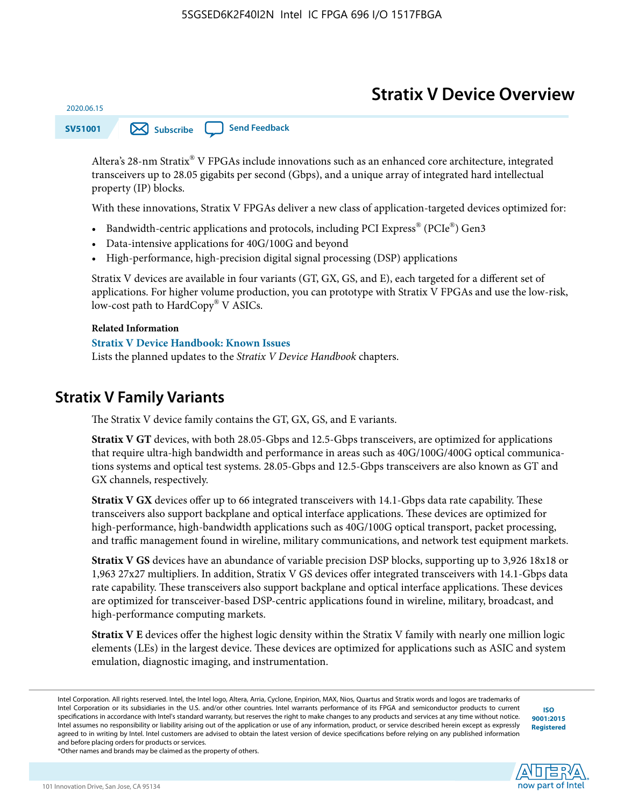# **Stratix V Device Overview**



Altera's 28-nm Stratix® V FPGAs include innovations such as an enhanced core architecture, integrated transceivers up to 28.05 gigabits per second (Gbps), and a unique array of integrated hard intellectual property (IP) blocks.

With these innovations, Stratix V FPGAs deliver a new class of application-targeted devices optimized for:

- Bandwidth-centric applications and protocols, including PCI Express® (PCIe®) Gen3
- Data-intensive applications for 40G/100G and beyond
- High-performance, high-precision digital signal processing (DSP) applications

Stratix V devices are available in four variants (GT, GX, GS, and E), each targeted for a different set of applications. For higher volume production, you can prototype with Stratix V FPGAs and use the low-risk, low-cost path to HardCopy® V ASICs.

#### **Related Information**

2020.06.15

#### **[Stratix V Device Handbook: Known Issues](http://www.altera.com/support/kdb/solutions/rd08242010_83.html)**

Lists the planned updates to the *Stratix V Device Handbook* chapters.

### **Stratix V Family Variants**

The Stratix V device family contains the GT, GX, GS, and E variants.

**Stratix V GT** devices, with both 28.05-Gbps and 12.5-Gbps transceivers, are optimized for applications that require ultra-high bandwidth and performance in areas such as 40G/100G/400G optical communica‐ tions systems and optical test systems. 28.05-Gbps and 12.5-Gbps transceivers are also known as GT and GX channels, respectively.

**Stratix V GX** devices offer up to 66 integrated transceivers with 14.1-Gbps data rate capability. These transceivers also support backplane and optical interface applications. These devices are optimized for high-performance, high-bandwidth applications such as 40G/100G optical transport, packet processing, and traffic management found in wireline, military communications, and network test equipment markets.

**Stratix V GS** devices have an abundance of variable precision DSP blocks, supporting up to 3,926 18x18 or 1,963 27x27 multipliers. In addition, Stratix V GS devices offer integrated transceivers with 14.1-Gbps data rate capability. These transceivers also support backplane and optical interface applications. These devices are optimized for transceiver-based DSP-centric applications found in wireline, military, broadcast, and high-performance computing markets.

**Stratix V E** devices offer the highest logic density within the Stratix V family with nearly one million logic elements (LEs) in the largest device. These devices are optimized for applications such as ASIC and system emulation, diagnostic imaging, and instrumentation.

**[ISO](http://www.altera.com/support/devices/reliability/certifications/rel-certifications.html) [9001:2015](http://www.altera.com/support/devices/reliability/certifications/rel-certifications.html) [Registered](http://www.altera.com/support/devices/reliability/certifications/rel-certifications.html)**

**low part of Intel** 

\*Other names and brands may be claimed as the property of others.

Intel Corporation. All rights reserved. Intel, the Intel logo, Altera, Arria, Cyclone, Enpirion, MAX, Nios, Quartus and Stratix words and logos are trademarks of Intel Corporation or its subsidiaries in the U.S. and/or other countries. Intel warrants performance of its FPGA and semiconductor products to current specifications in accordance with Intel's standard warranty, but reserves the right to make changes to any products and services at any time without notice. Intel assumes no responsibility or liability arising out of the application or use of any information, product, or service described herein except as expressly agreed to in writing by Intel. Intel customers are advised to obtain the latest version of device specifications before relying on any published information and before placing orders for products or services.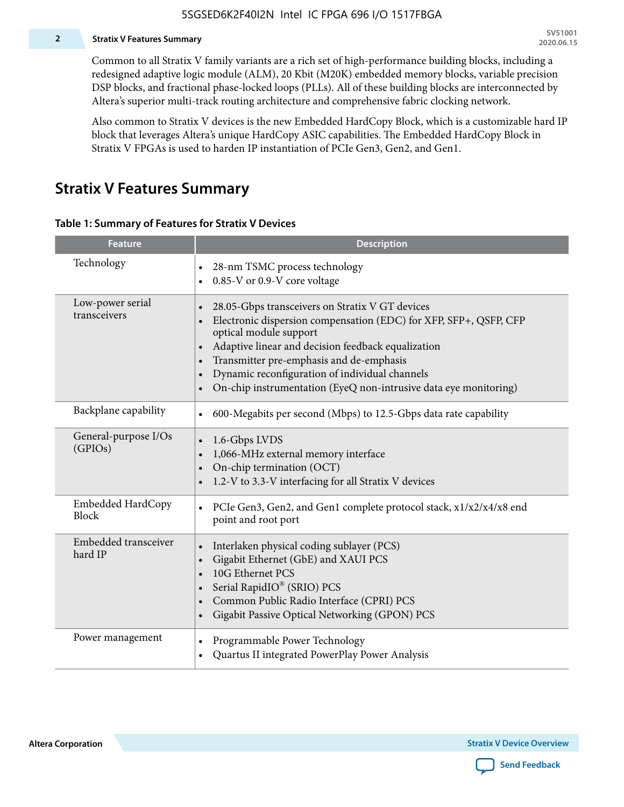#### **2 Stratix V Features Summary**

Common to all Stratix V family variants are a rich set of high-performance building blocks, including a redesigned adaptive logic module (ALM), 20 Kbit (M20K) embedded memory blocks, variable precision DSP blocks, and fractional phase-locked loops (PLLs). All of these building blocks are interconnected by Altera's superior multi-track routing architecture and comprehensive fabric clocking network.

Also common to Stratix V devices is the new Embedded HardCopy Block, which is a customizable hard IP block that leverages Altera's unique HardCopy ASIC capabilities. The Embedded HardCopy Block in Stratix V FPGAs is used to harden IP instantiation of PCIe Gen3, Gen2, and Gen1.

### **Stratix V Features Summary**

#### **Table 1: Summary of Features for Stratix V Devices**

| <b>Feature</b>                    | <b>Description</b>                                                                                                                                                                                                                                                                                                                                                                                                         |
|-----------------------------------|----------------------------------------------------------------------------------------------------------------------------------------------------------------------------------------------------------------------------------------------------------------------------------------------------------------------------------------------------------------------------------------------------------------------------|
| Technology                        | 28-nm TSMC process technology<br>$\bullet$<br>0.85-V or 0.9-V core voltage                                                                                                                                                                                                                                                                                                                                                 |
| Low-power serial<br>transceivers  | 28.05-Gbps transceivers on Stratix V GT devices<br>$\bullet$<br>Electronic dispersion compensation (EDC) for XFP, SFP+, QSFP, CFP<br>optical module support<br>Adaptive linear and decision feedback equalization<br>$\bullet$<br>Transmitter pre-emphasis and de-emphasis<br>Dynamic reconfiguration of individual channels<br>$\bullet$<br>On-chip instrumentation (EyeQ non-intrusive data eye monitoring)<br>$\bullet$ |
| Backplane capability              | 600-Megabits per second (Mbps) to 12.5-Gbps data rate capability<br>$\bullet$                                                                                                                                                                                                                                                                                                                                              |
| General-purpose I/Os<br>(GPIOs)   | 1.6-Gbps LVDS<br>1,066-MHz external memory interface<br>$\bullet$<br>On-chip termination (OCT)<br>$\bullet$<br>1.2-V to 3.3-V interfacing for all Stratix V devices                                                                                                                                                                                                                                                        |
| Embedded HardCopy<br><b>Block</b> | PCIe Gen3, Gen2, and Gen1 complete protocol stack, x1/x2/x4/x8 end<br>$\bullet$<br>point and root port                                                                                                                                                                                                                                                                                                                     |
| Embedded transceiver<br>hard IP   | Interlaken physical coding sublayer (PCS)<br>$\bullet$<br>Gigabit Ethernet (GbE) and XAUI PCS<br>$\bullet$<br>10G Ethernet PCS<br>Serial RapidIO® (SRIO) PCS<br>$\bullet$<br>Common Public Radio Interface (CPRI) PCS<br>$\bullet$<br>Gigabit Passive Optical Networking (GPON) PCS<br>$\bullet$                                                                                                                           |
| Power management                  | Programmable Power Technology<br>Quartus II integrated PowerPlay Power Analysis<br>$\bullet$                                                                                                                                                                                                                                                                                                                               |

**Altera Corporation** 

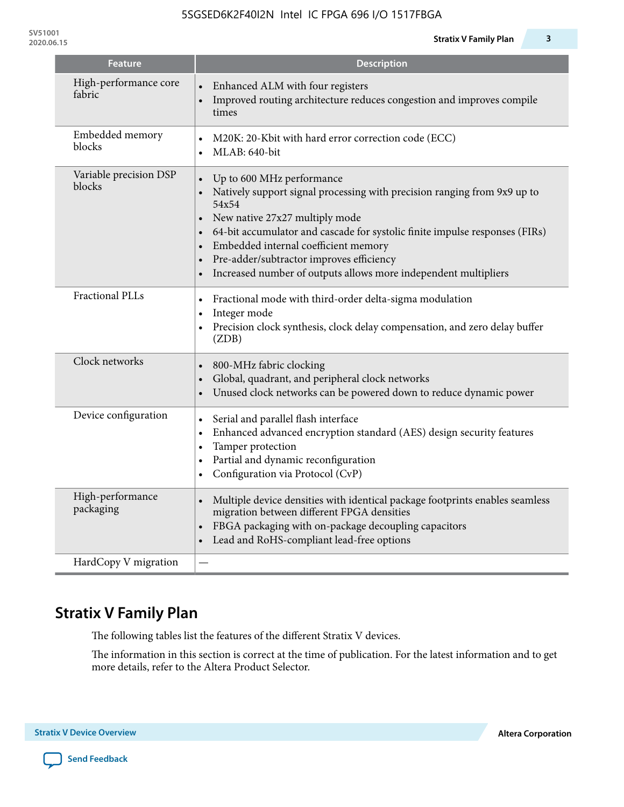| <b>Feature</b>                   | <b>Description</b>                                                                                                                                                                                                                                                                                                                                                                                                                         |
|----------------------------------|--------------------------------------------------------------------------------------------------------------------------------------------------------------------------------------------------------------------------------------------------------------------------------------------------------------------------------------------------------------------------------------------------------------------------------------------|
| High-performance core<br>fabric  | Enhanced ALM with four registers<br>Improved routing architecture reduces congestion and improves compile<br>times                                                                                                                                                                                                                                                                                                                         |
| Embedded memory<br>blocks        | M20K: 20-Kbit with hard error correction code (ECC)<br>$\bullet$<br>MLAB: 640-bit<br>$\bullet$                                                                                                                                                                                                                                                                                                                                             |
| Variable precision DSP<br>blocks | Up to 600 MHz performance<br>$\bullet$<br>Natively support signal processing with precision ranging from 9x9 up to<br>54x54<br>New native 27x27 multiply mode<br>$\bullet$<br>64-bit accumulator and cascade for systolic finite impulse responses (FIRs)<br>Embedded internal coefficient memory<br>$\bullet$<br>Pre-adder/subtractor improves efficiency<br>$\bullet$<br>Increased number of outputs allows more independent multipliers |
| <b>Fractional PLLs</b>           | Fractional mode with third-order delta-sigma modulation<br>$\bullet$<br>Integer mode<br>$\bullet$<br>Precision clock synthesis, clock delay compensation, and zero delay buffer<br>$\bullet$<br>(ZDB)                                                                                                                                                                                                                                      |
| Clock networks                   | 800-MHz fabric clocking<br>$\bullet$<br>Global, quadrant, and peripheral clock networks<br>$\bullet$<br>Unused clock networks can be powered down to reduce dynamic power<br>$\bullet$                                                                                                                                                                                                                                                     |
| Device configuration             | Serial and parallel flash interface<br>$\bullet$<br>Enhanced advanced encryption standard (AES) design security features<br>$\bullet$<br>Tamper protection<br>$\bullet$<br>Partial and dynamic reconfiguration<br>$\bullet$<br>Configuration via Protocol (CvP)                                                                                                                                                                            |
| High-performance<br>packaging    | Multiple device densities with identical package footprints enables seamless<br>migration between different FPGA densities<br>FBGA packaging with on-package decoupling capacitors<br>Lead and RoHS-compliant lead-free options<br>$\bullet$                                                                                                                                                                                               |
| HardCopy V migration             |                                                                                                                                                                                                                                                                                                                                                                                                                                            |

# **Stratix V Family Plan**

The following tables list the features of the different Stratix V devices.

The information in this section is correct at the time of publication. For the latest information and to get more details, refer to the Altera Product Selector.

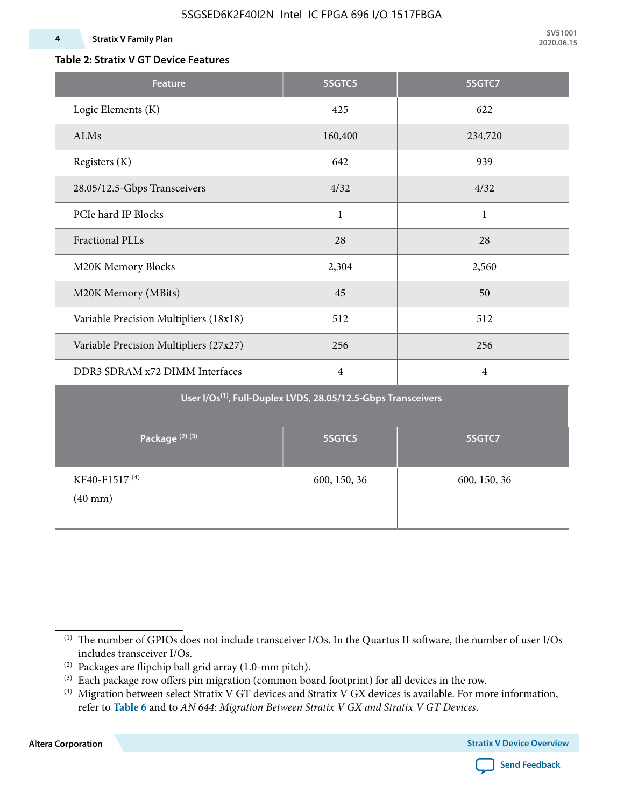#### **4 Stratix V Family Plan**

### **Table 2: Stratix V GT Device Features**

| <b>Feature</b>                                                            | 5SGTC5         | 5SGTC7         |  |  |  |  |  |  |  |
|---------------------------------------------------------------------------|----------------|----------------|--|--|--|--|--|--|--|
| Logic Elements (K)                                                        | 425            | 622            |  |  |  |  |  |  |  |
| ALMs                                                                      | 160,400        | 234,720        |  |  |  |  |  |  |  |
| Registers (K)                                                             | 642            | 939            |  |  |  |  |  |  |  |
| 28.05/12.5-Gbps Transceivers                                              | 4/32           | 4/32           |  |  |  |  |  |  |  |
| PCIe hard IP Blocks                                                       | $\mathbf{1}$   | $\mathbf{1}$   |  |  |  |  |  |  |  |
| <b>Fractional PLLs</b>                                                    | 28             | 28             |  |  |  |  |  |  |  |
| M20K Memory Blocks                                                        | 2,304          | 2,560          |  |  |  |  |  |  |  |
| M20K Memory (MBits)                                                       | 45             | 50             |  |  |  |  |  |  |  |
| Variable Precision Multipliers (18x18)                                    | 512            | 512            |  |  |  |  |  |  |  |
| Variable Precision Multipliers (27x27)                                    | 256            | 256            |  |  |  |  |  |  |  |
| DDR3 SDRAM x72 DIMM Interfaces                                            | $\overline{4}$ | $\overline{4}$ |  |  |  |  |  |  |  |
| User I/Os <sup>(1)</sup> , Full-Duplex LVDS, 28.05/12.5-Gbps Transceivers |                |                |  |  |  |  |  |  |  |
| Package <sup>(2)(3)</sup>                                                 | 5SGTC5         | 5SGTC7         |  |  |  |  |  |  |  |
| KF40-F1517 <sup>(4)</sup><br>$(40 \text{ mm})$                            | 600, 150, 36   | 600, 150, 36   |  |  |  |  |  |  |  |

**Altera Corporation** 



<sup>(1)</sup> The number of GPIOs does not include transceiver I/Os. In the Quartus II software, the number of user I/Os includes transceiver I/Os.

 $^{(2)}$  Packages are flipchip ball grid array (1.0-mm pitch).

<sup>(3)</sup> Each package row offers pin migration (common board footprint) for all devices in the row.

<sup>(4)</sup> Migration between select Stratix V GT devices and Stratix V GX devices is available. For more information, refer to **Table 6** and to *AN 644: Migration Between Stratix V GX and Stratix V GT Devices*.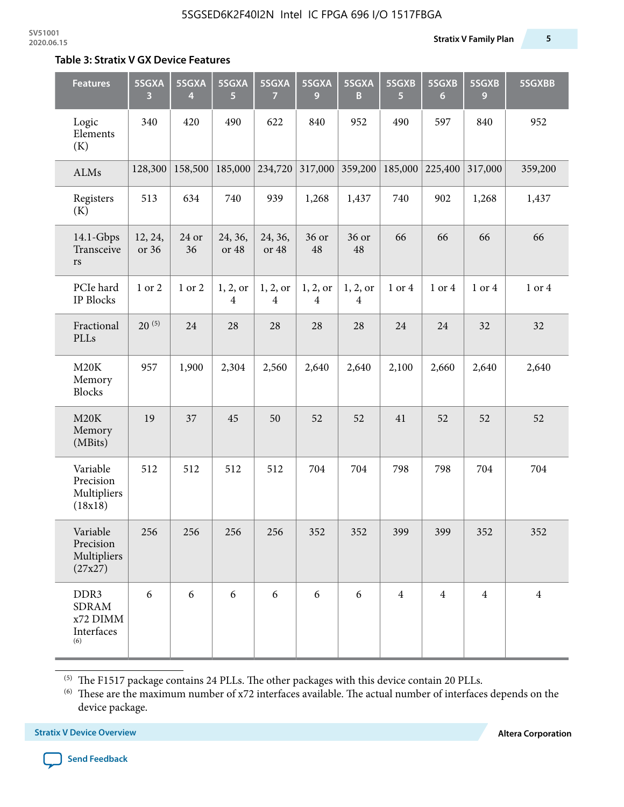#### **Table 3: Stratix V GX Device Features**

| <b>Features</b>                                       | 5SGXA<br>3       | 5SGXA<br>4  | 5SGXA<br>5                 | 5SGXA<br>7                 | 5SGXA<br>9    | 5SGXA<br>В    | 5SGXB<br>5     | 5SGXB<br>6     | 5SGXB<br>9     | 5SGXBB         |
|-------------------------------------------------------|------------------|-------------|----------------------------|----------------------------|---------------|---------------|----------------|----------------|----------------|----------------|
| Logic<br>Elements<br>(K)                              | 340              | 420         | 490                        | 622                        | 840           | 952           | 490            | 597            | 840            | 952            |
| ALMs                                                  | 128,300          | 158,500     | 185,000                    | 234,720                    | 317,000       | 359,200       | 185,000        | 225,400        | 317,000        | 359,200        |
| Registers<br>(K)                                      | 513              | 634         | 740                        | 939                        | 1,268         | 1,437         | 740            | 902            | 1,268          | 1,437          |
| $14.1$ -Gbps<br>Transceive<br>rs                      | 12, 24,<br>or 36 | 24 or<br>36 | 24, 36,<br>or 48           | 24, 36,<br>or 48           | 36 or<br>48   | 36 or<br>48   | 66             | 66             | 66             | 66             |
| PCIe hard<br><b>IP Blocks</b>                         | 1 or 2           | 1 or 2      | 1, 2, or<br>$\overline{4}$ | 1, 2, or<br>$\overline{4}$ | 1, 2, or<br>4 | 1, 2, or<br>4 | 1 or 4         | 1 or 4         | 1 or 4         | 1 or 4         |
| Fractional<br>PLLs                                    | $20^{(5)}$       | 24          | 28                         | 28                         | 28            | 28            | 24             | 24             | 32             | 32             |
| M20K<br>Memory<br><b>Blocks</b>                       | 957              | 1,900       | 2,304                      | 2,560                      | 2,640         | 2,640         | 2,100          | 2,660          | 2,640          | 2,640          |
| M20K<br>Memory<br>(MBits)                             | 19               | 37          | 45                         | 50                         | 52            | 52            | 41             | 52             | 52             | 52             |
| Variable<br>Precision<br>Multipliers<br>(18x18)       | 512              | 512         | 512                        | 512                        | 704           | 704           | 798            | 798            | 704            | 704            |
| Variable<br>Precision<br>Multipliers<br>(27x27)       | 256              | 256         | 256                        | 256                        | 352           | 352           | 399            | 399            | 352            | 352            |
| DDR3<br><b>SDRAM</b><br>x72 DIMM<br>Interfaces<br>(6) | 6                | 6           | 6                          | 6                          | 6             | 6             | $\overline{4}$ | $\overline{4}$ | $\overline{4}$ | $\overline{4}$ |

 $^{\left(5\right)}$  The F1517 package contains 24 PLLs. The other packages with this device contain 20 PLLs.

(6) These are the maximum number of x72 interfaces available. The actual number of interfaces depends on the device package.

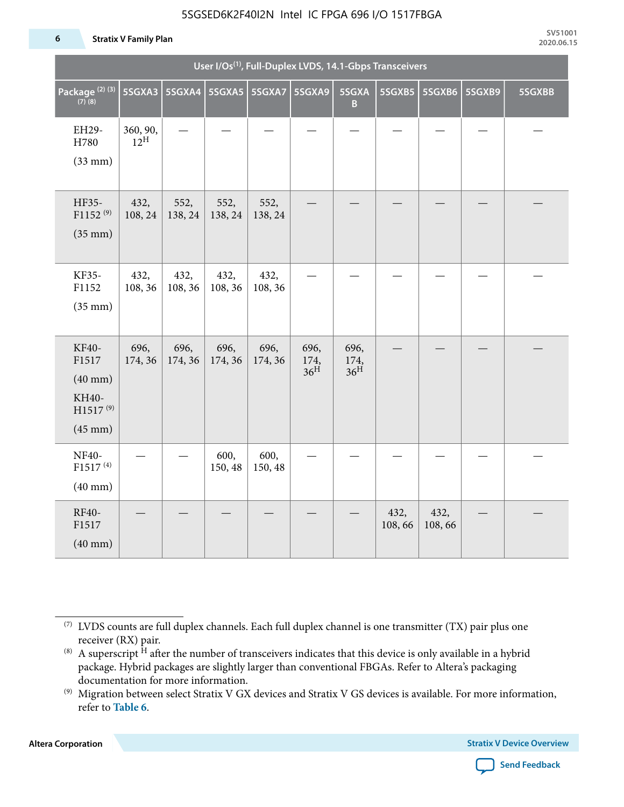#### 5SGSED6K2F40I2N Intel IC FPGA 696 I/O 1517FBGA

#### **6 Stratix V Family Plan**

| User I/Os <sup>(1)</sup> , Full-Duplex LVDS, 14.1-Gbps Transceivers                  |                             |                          |                 |                 |                                 |                                 |                |                |        |        |
|--------------------------------------------------------------------------------------|-----------------------------|--------------------------|-----------------|-----------------|---------------------------------|---------------------------------|----------------|----------------|--------|--------|
| Package <sup>(2)(3)</sup><br>$(7)$ (8)                                               | 5SGXA3                      | 5SGXA4   5SGXA5   5SGXA7 |                 |                 | 5SGXA9                          | 5SGXA<br>B.                     | 5SGXB5         | 5SGXB6         | 5SGXB9 | 5SGXBB |
| EH29-<br>H780<br>$(33$ mm $)$                                                        | 360, 90,<br>$12^{\text{H}}$ |                          |                 |                 |                                 |                                 |                |                |        |        |
| HF35-<br>$F1152^{(9)}$<br>$(35$ mm $)$                                               | 432,<br>108, 24             | 552,<br>138, 24          | 552,<br>138, 24 | 552,<br>138, 24 |                                 |                                 |                |                |        |        |
| KF35-<br>F1152<br>$(35$ mm $)$                                                       | 432,<br>108, 36             | 432,<br>108, 36          | 432,<br>108, 36 | 432,<br>108, 36 |                                 |                                 |                |                |        |        |
| KF40-<br>F1517<br>$(40$ mm $)$<br>KH40-<br>H1517 <sup>(9)</sup><br>$(45 \text{ mm})$ | 696,<br>174, 36             | 696,<br>174, 36          | 696,<br>174, 36 | 696,<br>174, 36 | 696,<br>174,<br>36 <sup>H</sup> | 696,<br>174,<br>36 <sup>H</sup> |                |                |        |        |
| NF40-<br>F1517 <sup>(4)</sup><br>$(40$ mm $)$                                        |                             |                          | 600,<br>150, 48 | 600,<br>150, 48 |                                 |                                 |                |                |        |        |
| RF40-<br>F1517<br>$(40$ mm $)$                                                       |                             |                          |                 |                 |                                 |                                 | 432,<br>108,66 | 432,<br>108,66 |        |        |

**Altera Corporation** 



<sup>(7)</sup> LVDS counts are full duplex channels. Each full duplex channel is one transmitter (TX) pair plus one receiver (RX) pair.

<sup>(8)</sup> A superscript  $H$  after the number of transceivers indicates that this device is only available in a hybrid package. Hybrid packages are slightly larger than conventional FBGAs. Refer to Altera's packaging documentation for more information.

<sup>(9)</sup> Migration between select Stratix V GX devices and Stratix V GS devices is available. For more information, refer to **Table 6**.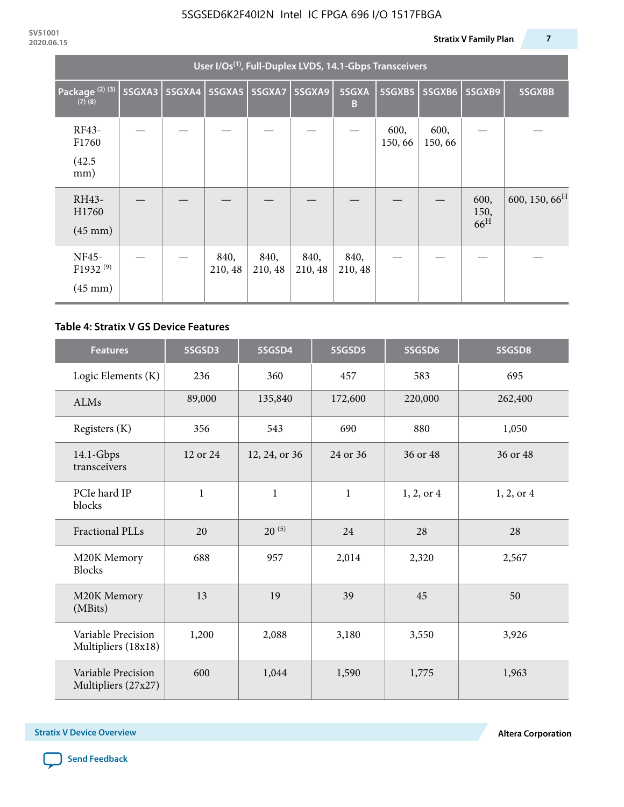| User I/Os <sup>(1)</sup> , Full-Duplex LVDS, 14.1-Gbps Transceivers |        |               |                 |                 |                 |                 |                |                |                                 |                           |
|---------------------------------------------------------------------|--------|---------------|-----------------|-----------------|-----------------|-----------------|----------------|----------------|---------------------------------|---------------------------|
| Package <sup>(2)(3)</sup><br>$(7)$ $(8)$                            | 5SGXA3 | <b>5SGXA4</b> |                 | 5SGXA5 5SGXA7   | 5SGXA9          | 5SGXA<br>B      | 5SGXB5         | 5SGXB6         | 5SGXB9                          | 5SGXBB                    |
| RF43-<br>F1760<br>(42.5)<br>mm)                                     |        |               |                 |                 |                 |                 | 600,<br>150,66 | 600,<br>150,66 |                                 |                           |
| RH43-<br>H1760<br>$(45 \text{ mm})$                                 |        |               |                 |                 |                 |                 |                |                | 600,<br>150,<br>66 <sup>H</sup> | 600, 150, 66 <sup>H</sup> |
| NF45-<br>F1932 <sup>(9)</sup><br>$(45 \text{ mm})$                  |        |               | 840,<br>210, 48 | 840,<br>210, 48 | 840,<br>210, 48 | 840,<br>210, 48 |                |                |                                 |                           |

#### **Table 4: Stratix V GS Device Features**

| <b>Features</b>                           | 5SGSD3      | 5SGSD4        | 5SGSD5       | 5SGSD6     | 5SGSD8     |
|-------------------------------------------|-------------|---------------|--------------|------------|------------|
| Logic Elements (K)                        | 236         | 360           | 457          | 583        | 695        |
| <b>ALMs</b>                               | 89,000      | 135,840       | 172,600      | 220,000    | 262,400    |
| Registers (K)                             | 356         | 543           | 690          | 880        | 1,050      |
| $14.1$ -Gbps<br>transceivers              | 12 or 24    | 12, 24, or 36 | 24 or 36     | 36 or 48   | 36 or 48   |
| PCIe hard IP<br>blocks                    | $\mathbf 1$ | $\mathbf{1}$  | $\mathbf{1}$ | 1, 2, or 4 | 1, 2, or 4 |
| Fractional PLLs                           | 20          | $20^{(5)}$    | 24           | 28         | 28         |
| M20K Memory<br><b>Blocks</b>              | 688         | 957           | 2,014        | 2,320      | 2,567      |
| M20K Memory<br>(MBits)                    | 13          | 19            | 39           | 45         | 50         |
| Variable Precision<br>Multipliers (18x18) | 1,200       | 2,088         | 3,180        | 3,550      | 3,926      |
| Variable Precision<br>Multipliers (27x27) | 600         | 1,044         | 1,590        | 1,775      | 1,963      |

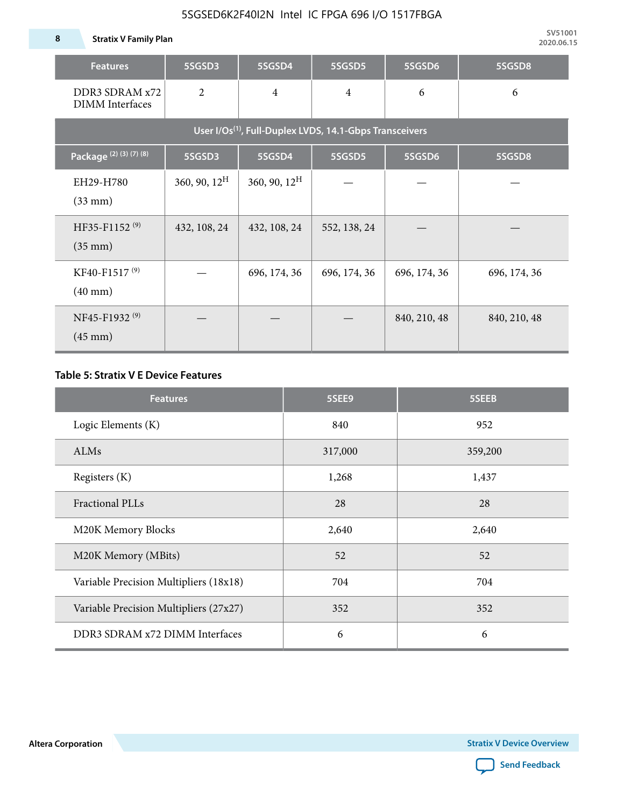#### 5SGSED6K2F40I2N Intel IC FPGA 696 I/O 1517FBGA

| <b>Features</b>                                                     | 5SGSD3          | 5SGSD4          | 5SGSD5         | 5SGSD6       | 5SGSD8       |  |  |  |  |  |  |
|---------------------------------------------------------------------|-----------------|-----------------|----------------|--------------|--------------|--|--|--|--|--|--|
| DDR3 SDRAM x72<br><b>DIMM</b> Interfaces                            | $\overline{2}$  | $\overline{4}$  | $\overline{4}$ | 6            | 6            |  |  |  |  |  |  |
| User I/Os <sup>(1)</sup> , Full-Duplex LVDS, 14.1-Gbps Transceivers |                 |                 |                |              |              |  |  |  |  |  |  |
| Package <sup>(2)</sup> (3) (7) (8)                                  | 5SGSD3          | 5SGSD4          | 5SGSD5         | 5SGSD6       | 5SGSD8       |  |  |  |  |  |  |
| EH29-H780<br>$(33$ mm $)$                                           | 360, 90, $12^H$ | 360, 90, $12^H$ |                |              |              |  |  |  |  |  |  |
| HF35-F1152 <sup>(9)</sup><br>$(35 \text{ mm})$                      | 432, 108, 24    | 432, 108, 24    | 552, 138, 24   |              |              |  |  |  |  |  |  |
| KF40-F1517 <sup>(9)</sup><br>$(40 \text{ mm})$                      |                 | 696, 174, 36    | 696, 174, 36   | 696, 174, 36 | 696, 174, 36 |  |  |  |  |  |  |
| NF45-F1932 <sup>(9)</sup><br>$(45 \text{ mm})$                      |                 |                 |                | 840, 210, 48 | 840, 210, 48 |  |  |  |  |  |  |

#### **Table 5: Stratix V E Device Features**

| <b>Features</b>                        | 5SEE9   | 5SEEB   |
|----------------------------------------|---------|---------|
| Logic Elements (K)                     | 840     | 952     |
| ALMs                                   | 317,000 | 359,200 |
| Registers (K)                          | 1,268   | 1,437   |
| <b>Fractional PLLs</b>                 | 28      | 28      |
| M20K Memory Blocks                     | 2,640   | 2,640   |
| M20K Memory (MBits)                    | 52      | 52      |
| Variable Precision Multipliers (18x18) | 704     | 704     |
| Variable Precision Multipliers (27x27) | 352     | 352     |
| DDR3 SDRAM x72 DIMM Interfaces         | 6       | 6       |

**Altera Corporation** 

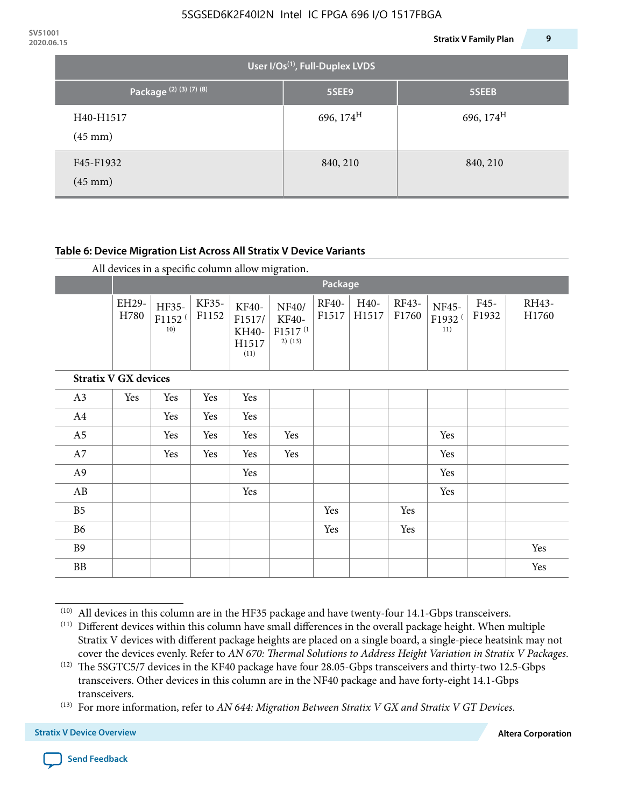| 2020.06.15        |                                                                     |                                       | <b>Stratix V Family Plan</b> | 9 |
|-------------------|---------------------------------------------------------------------|---------------------------------------|------------------------------|---|
|                   |                                                                     | User I/Os $^{(1)}$ , Full-Duplex LVDS |                              |   |
|                   | Package <sup>(2)</sup> <sup>(3)</sup> <sup>(7)</sup> <sup>(8)</sup> | 5SEE9                                 | 5SEEB                        |   |
| $(45 \text{ mm})$ | H40-H1517                                                           | 696, $174^{\text{H}}$                 | 696, $174^H$                 |   |
| $(45 \text{ mm})$ | F45-F1932                                                           | 840, 210                              | 840, 210                     |   |

#### **Table 6: Device Migration List Across All Stratix V Device Variants**

|                             |               | Package                            |                |                                           |                                                           |                |               |                |                                    |               |                |
|-----------------------------|---------------|------------------------------------|----------------|-------------------------------------------|-----------------------------------------------------------|----------------|---------------|----------------|------------------------------------|---------------|----------------|
|                             | EH29-<br>H780 | HF35-<br>F1152 <sup>(</sup><br>10) | KF35-<br>F1152 | KF40-<br>F1517/<br>KH40-<br>H1517<br>(11) | NF40/<br><b>KF40-</b><br>F1517 <sup>(1</sup><br>$2)$ (13) | RF40-<br>F1517 | H40-<br>H1517 | RF43-<br>F1760 | NF45-<br>F1932 <sup>(</sup><br>11) | F45-<br>F1932 | RH43-<br>H1760 |
| <b>Stratix V GX devices</b> |               |                                    |                |                                           |                                                           |                |               |                |                                    |               |                |
| A3                          | Yes           | Yes                                | Yes            | Yes                                       |                                                           |                |               |                |                                    |               |                |
| A4                          |               | Yes                                | Yes            | Yes                                       |                                                           |                |               |                |                                    |               |                |
| A <sub>5</sub>              |               | Yes                                | Yes            | Yes                                       | Yes                                                       |                |               |                | Yes                                |               |                |
| A7                          |               | Yes                                | Yes            | Yes                                       | Yes                                                       |                |               |                | Yes                                |               |                |
| A <sub>9</sub>              |               |                                    |                | Yes                                       |                                                           |                |               |                | Yes                                |               |                |
| AB                          |               |                                    |                | Yes                                       |                                                           |                |               |                | Yes                                |               |                |
| B <sub>5</sub>              |               |                                    |                |                                           |                                                           | Yes            |               | Yes            |                                    |               |                |
| B <sub>6</sub>              |               |                                    |                |                                           |                                                           | Yes            |               | Yes            |                                    |               |                |
| <b>B9</b>                   |               |                                    |                |                                           |                                                           |                |               |                |                                    |               | Yes            |
| <b>BB</b>                   |               |                                    |                |                                           |                                                           |                |               |                |                                    |               | Yes            |

 $(10)$  All devices in this column are in the HF35 package and have twenty-four 14.1-Gbps transceivers.



<sup>(11)</sup> Different devices within this column have small differences in the overall package height. When multiple Stratix V devices with different package heights are placed on a single board, a single-piece heatsink may not cover the devices evenly. Refer to *AN 670: Thermal Solutions to Address Height Variation in Stratix V Packages*.

<sup>(12)</sup> The 5SGTC5/7 devices in the KF40 package have four 28.05-Gbps transceivers and thirty-two 12.5-Gbps transceivers. Other devices in this column are in the NF40 package and have forty-eight 14.1-Gbps transceivers.

<sup>(13)</sup> For more information, refer to *AN 644: Migration Between Stratix V GX and Stratix V GT Devices*.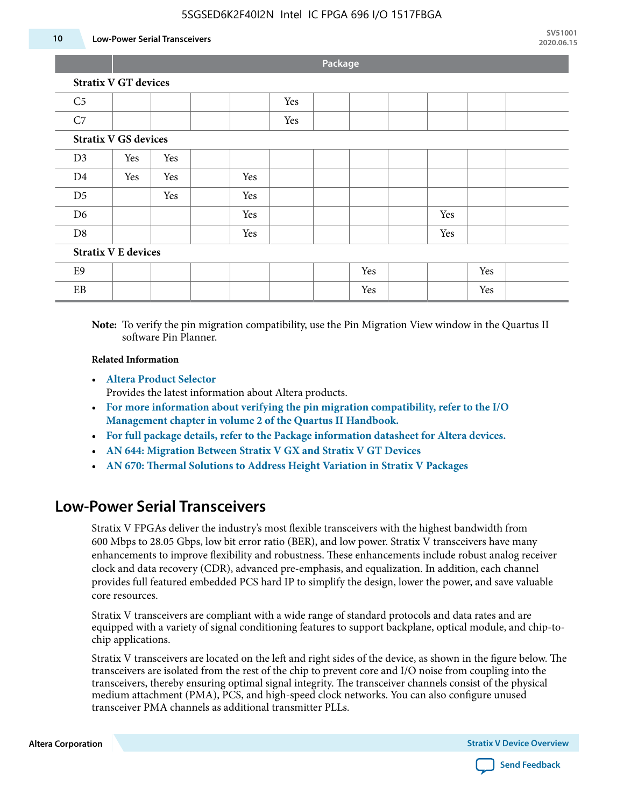#### 5SGSED6K2F40I2N Intel IC FPGA 696 I/O 1517FBGA

#### **10 Low-Power Serial Transceivers**

**Package**

| <b>Stratix V GT devices</b> |  |  |  |
|-----------------------------|--|--|--|
|-----------------------------|--|--|--|

| C <sub>5</sub>              |     |     |  |     | Yes |  |     |     |     |  |
|-----------------------------|-----|-----|--|-----|-----|--|-----|-----|-----|--|
| C7                          |     |     |  |     | Yes |  |     |     |     |  |
| <b>Stratix V GS devices</b> |     |     |  |     |     |  |     |     |     |  |
| D <sub>3</sub>              | Yes | Yes |  |     |     |  |     |     |     |  |
| D <sub>4</sub>              | Yes | Yes |  | Yes |     |  |     |     |     |  |
| D <sub>5</sub>              |     | Yes |  | Yes |     |  |     |     |     |  |
| D <sub>6</sub>              |     |     |  | Yes |     |  |     | Yes |     |  |
| D <sub>8</sub>              |     |     |  | Yes |     |  |     | Yes |     |  |
| <b>Stratix V E devices</b>  |     |     |  |     |     |  |     |     |     |  |
| E9                          |     |     |  |     |     |  | Yes |     | Yes |  |
| EB                          |     |     |  |     |     |  | Yes |     | Yes |  |

**Note:** To verify the pin migration compatibility, use the Pin Migration View window in the Quartus II software Pin Planner.

#### **Related Information**

• **[Altera Product Selector](http://www.altera.com/products/selector/psg-selector.html#)**

Provides the latest information about Altera products.

- **[For more information about verifying the pin migration compatibility, refer to the I/O](http://www.altera.com/literature/hb/qts/qts_qii52013.pdf) [Management chapter in volume 2 of the Quartus II Handbook.](http://www.altera.com/literature/hb/qts/qts_qii52013.pdf)**
- **[For full package details, refer to the Package information datasheet for Altera devices.](http://www.altera.com/support/devices/packaging/specifications/pkg-pin/spe-index.jsp)**
- **[AN 644: Migration Between Stratix V GX and Stratix V GT Devices](http://www.altera.com/literature/an/an644.pdf)**
- **[AN 670: Thermal Solutions to Address Height Variation in Stratix V Packages](http://www.altera.com/literature/an/an670.pdf)**

### **Low-Power Serial Transceivers**

Stratix V FPGAs deliver the industry's most flexible transceivers with the highest bandwidth from 600 Mbps to 28.05 Gbps, low bit error ratio (BER), and low power. Stratix V transceivers have many enhancements to improve flexibility and robustness. These enhancements include robust analog receiver clock and data recovery (CDR), advanced pre-emphasis, and equalization. In addition, each channel provides full featured embedded PCS hard IP to simplify the design, lower the power, and save valuable core resources.

Stratix V transceivers are compliant with a wide range of standard protocols and data rates and are equipped with a variety of signal conditioning features to support backplane, optical module, and chip-tochip applications.

Stratix V transceivers are located on the left and right sides of the device, as shown in the figure below. The transceivers are isolated from the rest of the chip to prevent core and I/O noise from coupling into the transceivers, thereby ensuring optimal signal integrity. The transceiver channels consist of the physical medium attachment (PMA), PCS, and high-speed clock networks. You can also configure unused transceiver PMA channels as additional transmitter PLLs.

**Altera Corporation Stratix V Device Overview**

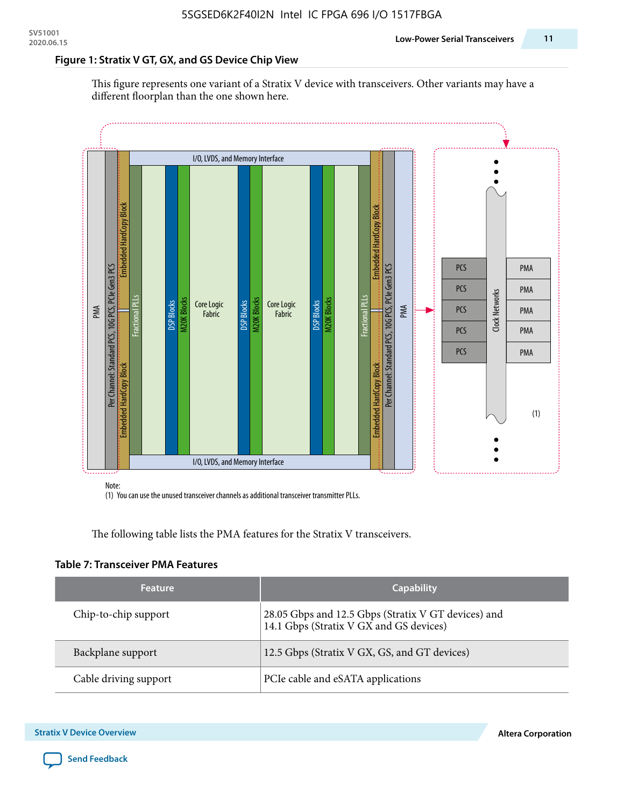#### **Figure 1: Stratix V GT, GX, and GS Device Chip View**

This figure represents one variant of a Stratix V device with transceivers. Other variants may have a different floorplan than the one shown here.



(1) You can use the unused transceiver channels as additional transceiver transmitter PLLs.

The following table lists the PMA features for the Stratix V transceivers.

#### **Table 7: Transceiver PMA Features**

| <b>Feature</b>        | <b>Capability</b>                                                                              |
|-----------------------|------------------------------------------------------------------------------------------------|
| Chip-to-chip support  | 28.05 Gbps and 12.5 Gbps (Stratix V GT devices) and<br>14.1 Gbps (Stratix V GX and GS devices) |
| Backplane support     | 12.5 Gbps (Stratix V GX, GS, and GT devices)                                                   |
| Cable driving support | PCIe cable and eSATA applications                                                              |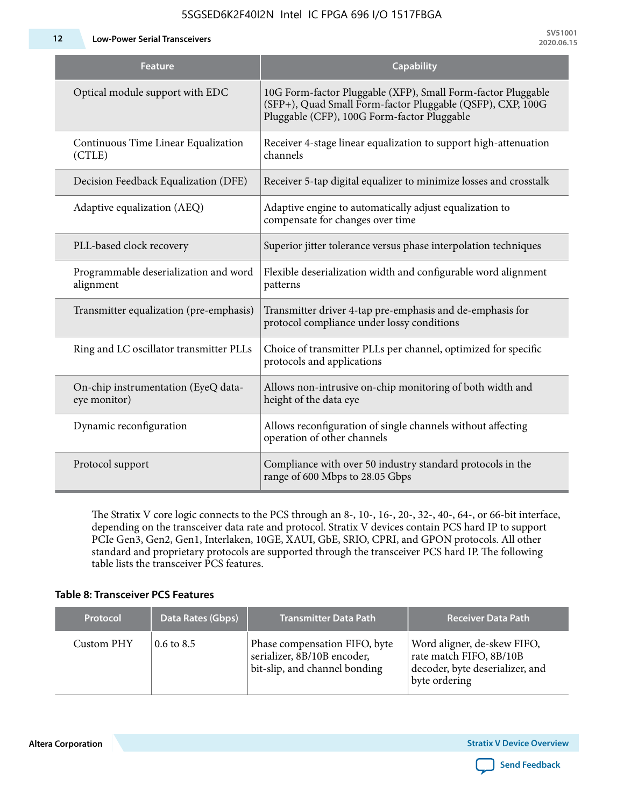**12 Low-Power Serial Transceivers**

| Feature                                             | <b>Capability</b>                                                                                                                                                         |
|-----------------------------------------------------|---------------------------------------------------------------------------------------------------------------------------------------------------------------------------|
| Optical module support with EDC                     | 10G Form-factor Pluggable (XFP), Small Form-factor Pluggable<br>(SFP+), Quad Small Form-factor Pluggable (QSFP), CXP, 100G<br>Pluggable (CFP), 100G Form-factor Pluggable |
| Continuous Time Linear Equalization<br>(CTLE)       | Receiver 4-stage linear equalization to support high-attenuation<br>channels                                                                                              |
| Decision Feedback Equalization (DFE)                | Receiver 5-tap digital equalizer to minimize losses and crosstalk                                                                                                         |
| Adaptive equalization (AEQ)                         | Adaptive engine to automatically adjust equalization to<br>compensate for changes over time                                                                               |
| PLL-based clock recovery                            | Superior jitter tolerance versus phase interpolation techniques                                                                                                           |
| Programmable deserialization and word<br>alignment  | Flexible deserialization width and configurable word alignment<br>patterns                                                                                                |
| Transmitter equalization (pre-emphasis)             | Transmitter driver 4-tap pre-emphasis and de-emphasis for<br>protocol compliance under lossy conditions                                                                   |
| Ring and LC oscillator transmitter PLLs             | Choice of transmitter PLLs per channel, optimized for specific<br>protocols and applications                                                                              |
| On-chip instrumentation (EyeQ data-<br>eye monitor) | Allows non-intrusive on-chip monitoring of both width and<br>height of the data eye                                                                                       |
| Dynamic reconfiguration                             | Allows reconfiguration of single channels without affecting<br>operation of other channels                                                                                |
| Protocol support                                    | Compliance with over 50 industry standard protocols in the<br>range of 600 Mbps to 28.05 Gbps                                                                             |

5SGSED6K2F40I2N Intel IC FPGA 696 I/O 1517FBGA

The Stratix V core logic connects to the PCS through an 8-, 10-, 16-, 20-, 32-, 40-, 64-, or 66-bit interface, depending on the transceiver data rate and protocol. Stratix V devices contain PCS hard IP to support PCIe Gen3, Gen2, Gen1, Interlaken, 10GE, XAUI, GbE, SRIO, CPRI, and GPON protocols. All other standard and proprietary protocols are supported through the transceiver PCS hard IP. The following table lists the transceiver PCS features.

#### **Table 8: Transceiver PCS Features**

| <b>Protocol</b> | Data Rates (Gbps)     | <b>Transmitter Data Path</b>                                                                  | <b>Receiver Data Path</b>                                                                                  |
|-----------------|-----------------------|-----------------------------------------------------------------------------------------------|------------------------------------------------------------------------------------------------------------|
| Custom PHY      | $0.6 \text{ to } 8.5$ | Phase compensation FIFO, byte<br>serializer, 8B/10B encoder,<br>bit-slip, and channel bonding | Word aligner, de-skew FIFO,<br>rate match FIFO, 8B/10B<br>decoder, byte deserializer, and<br>byte ordering |

**Altera Corporation** 

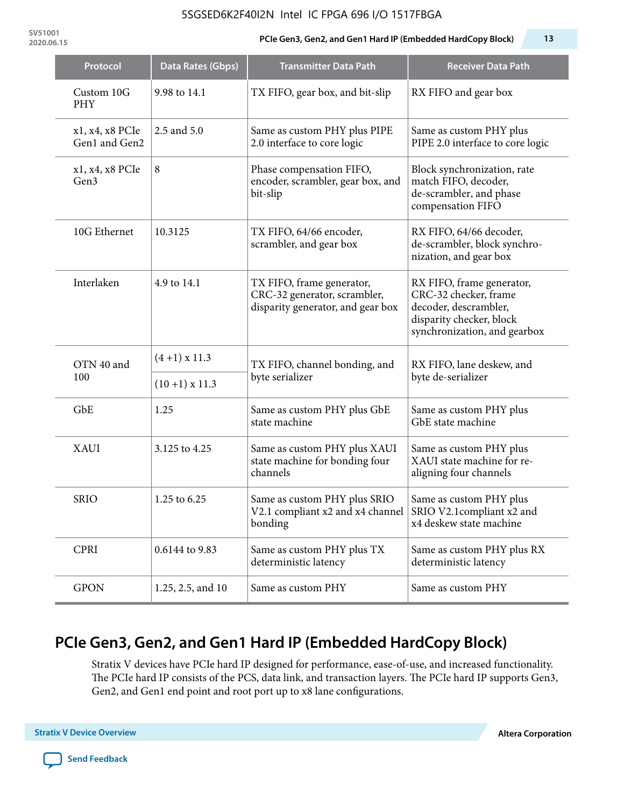#### 5SGSED6K2F40I2N Intel IC FPGA 696 I/O 1517FBGA

**SV51001**

#### **2020.06.15 PCIe Gen3, Gen2, and Gen1 Hard IP (Embedded HardCopy Block) 13**

| Protocol                            | Data Rates (Gbps) | <b>Transmitter Data Path</b>                                                                   | <b>Receiver Data Path</b>                                                                                                               |  |
|-------------------------------------|-------------------|------------------------------------------------------------------------------------------------|-----------------------------------------------------------------------------------------------------------------------------------------|--|
| Custom 10G<br><b>PHY</b>            | 9.98 to 14.1      | TX FIFO, gear box, and bit-slip                                                                | RX FIFO and gear box                                                                                                                    |  |
| x1, x4, x8 PCIe<br>Gen1 and Gen2    | 2.5 and 5.0       | Same as custom PHY plus PIPE<br>2.0 interface to core logic                                    | Same as custom PHY plus<br>PIPE 2.0 interface to core logic                                                                             |  |
| x1, x4, x8 PCIe<br>Gen <sub>3</sub> | 8                 | Phase compensation FIFO,<br>encoder, scrambler, gear box, and<br>bit-slip                      | Block synchronization, rate<br>match FIFO, decoder,<br>de-scrambler, and phase<br>compensation FIFO                                     |  |
| 10G Ethernet                        | 10.3125           | TX FIFO, 64/66 encoder,<br>scrambler, and gear box                                             | RX FIFO, 64/66 decoder,<br>de-scrambler, block synchro-<br>nization, and gear box                                                       |  |
| Interlaken                          | 4.9 to 14.1       | TX FIFO, frame generator,<br>CRC-32 generator, scrambler,<br>disparity generator, and gear box | RX FIFO, frame generator,<br>CRC-32 checker, frame<br>decoder, descrambler,<br>disparity checker, block<br>synchronization, and gearbox |  |
| OTN 40 and                          | $(4+1)$ x 11.3    | TX FIFO, channel bonding, and                                                                  | RX FIFO, lane deskew, and                                                                                                               |  |
| 100                                 | $(10+1)$ x 11.3   | byte serializer                                                                                | byte de-serializer                                                                                                                      |  |
| GbE                                 | 1.25              | Same as custom PHY plus GbE<br>state machine                                                   | Same as custom PHY plus<br>GbE state machine                                                                                            |  |
| <b>XAUI</b>                         | 3.125 to 4.25     | Same as custom PHY plus XAUI<br>state machine for bonding four<br>channels                     | Same as custom PHY plus<br>XAUI state machine for re-<br>aligning four channels                                                         |  |
| <b>SRIO</b>                         | 1.25 to 6.25      | Same as custom PHY plus SRIO<br>V2.1 compliant x2 and x4 channel<br>bonding                    | Same as custom PHY plus<br>SRIO V2.1compliant x2 and<br>x4 deskew state machine                                                         |  |
| <b>CPRI</b>                         | 0.6144 to 9.83    | Same as custom PHY plus TX<br>deterministic latency                                            | Same as custom PHY plus RX<br>deterministic latency                                                                                     |  |
| <b>GPON</b>                         | 1.25, 2.5, and 10 | Same as custom PHY                                                                             | Same as custom PHY                                                                                                                      |  |

# **PCIe Gen3, Gen2, and Gen1 Hard IP (Embedded HardCopy Block)**

Stratix V devices have PCIe hard IP designed for performance, ease-of-use, and increased functionality. The PCIe hard IP consists of the PCS, data link, and transaction layers. The PCIe hard IP supports Gen3, Gen2, and Gen1 end point and root port up to x8 lane configurations.

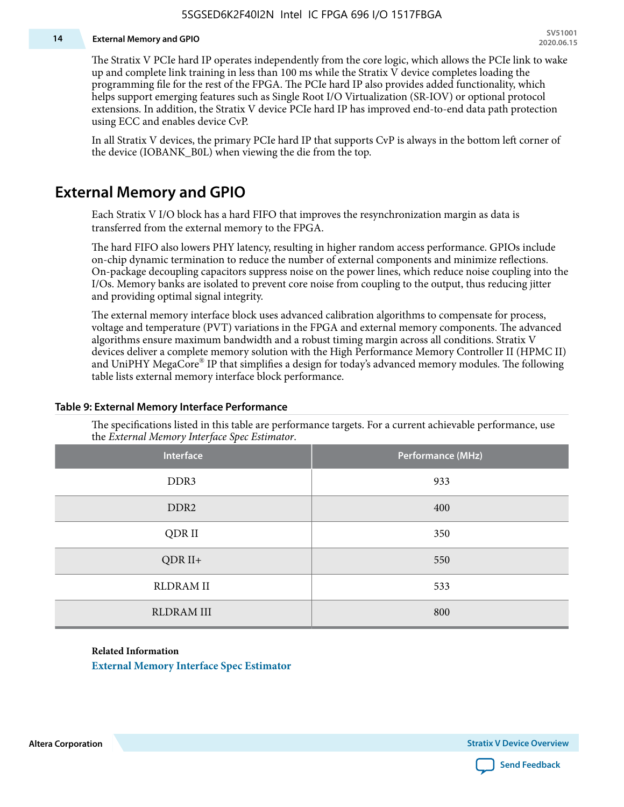#### **14 External Memory and GPIO**

The Stratix V PCIe hard IP operates independently from the core logic, which allows the PCIe link to wake up and complete link training in less than 100 ms while the Stratix V device completes loading the programming file for the rest of the FPGA. The PCIe hard IP also provides added functionality, which helps support emerging features such as Single Root I/O Virtualization (SR-IOV) or optional protocol extensions. In addition, the Stratix V device PCIe hard IP has improved end-to-end data path protection using ECC and enables device CvP.

In all Stratix V devices, the primary PCIe hard IP that supports CvP is always in the bottom left corner of the device (IOBANK\_B0L) when viewing the die from the top.

### **External Memory and GPIO**

Each Stratix V I/O block has a hard FIFO that improves the resynchronization margin as data is transferred from the external memory to the FPGA.

The hard FIFO also lowers PHY latency, resulting in higher random access performance. GPIOs include on-chip dynamic termination to reduce the number of external components and minimize reflections. On-package decoupling capacitors suppress noise on the power lines, which reduce noise coupling into the I/Os. Memory banks are isolated to prevent core noise from coupling to the output, thus reducing jitter and providing optimal signal integrity.

The external memory interface block uses advanced calibration algorithms to compensate for process, voltage and temperature (PVT) variations in the FPGA and external memory components. The advanced algorithms ensure maximum bandwidth and a robust timing margin across all conditions. Stratix V devices deliver a complete memory solution with the High Performance Memory Controller II (HPMC II) and UniPHY MegaCore® IP that simplifies a design for today's advanced memory modules. The following table lists external memory interface block performance.

| Interface         | Performance (MHz) |
|-------------------|-------------------|
| DDR3              | 933               |
| DDR <sub>2</sub>  | 400               |
| QDR II            | 350               |
| $QDR II+$         | 550               |
| <b>RLDRAM II</b>  | 533               |
| <b>RLDRAM III</b> | 800               |

#### **Table 9: External Memory Interface Performance**

The specifications listed in this table are performance targets. For a current achievable performance, use the *External Memory Interface Spec Estimator*.

#### **Related Information**

**[External Memory Interface Spec Estimator](http://www.altera.com/technology/memory/estimator/mem-emif-index.html)**

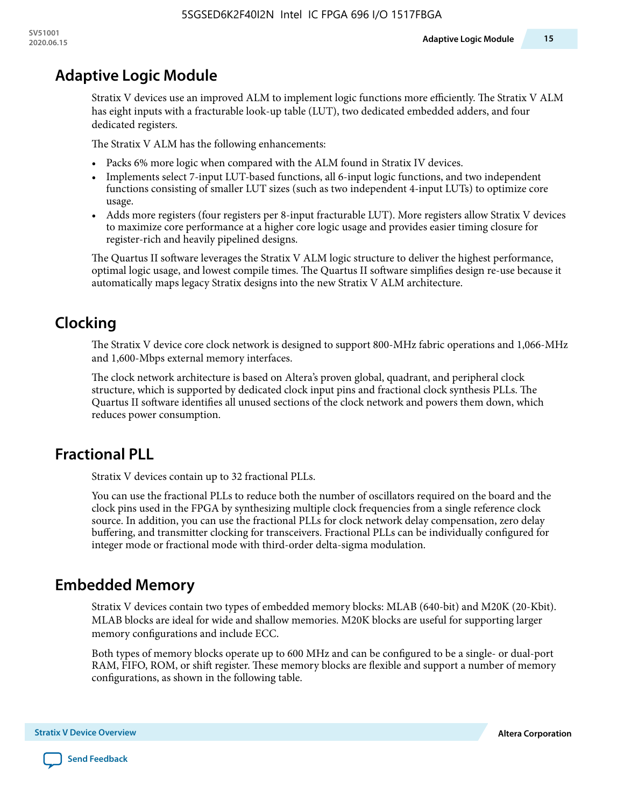# **Adaptive Logic Module**

Stratix V devices use an improved ALM to implement logic functions more efficiently. The Stratix V ALM has eight inputs with a fracturable look-up table (LUT), two dedicated embedded adders, and four dedicated registers.

The Stratix V ALM has the following enhancements:

- Packs 6% more logic when compared with the ALM found in Stratix IV devices.
- Implements select 7-input LUT-based functions, all 6-input logic functions, and two independent functions consisting of smaller LUT sizes (such as two independent 4-input LUTs) to optimize core usage.
- Adds more registers (four registers per 8-input fracturable LUT). More registers allow Stratix V devices to maximize core performance at a higher core logic usage and provides easier timing closure for register-rich and heavily pipelined designs.

The Quartus II software leverages the Stratix V ALM logic structure to deliver the highest performance, optimal logic usage, and lowest compile times. The Quartus II software simplifies design re-use because it automatically maps legacy Stratix designs into the new Stratix V ALM architecture.

# **Clocking**

The Stratix V device core clock network is designed to support 800-MHz fabric operations and 1,066-MHz and 1,600-Mbps external memory interfaces.

The clock network architecture is based on Altera's proven global, quadrant, and peripheral clock structure, which is supported by dedicated clock input pins and fractional clock synthesis PLLs. The Quartus II software identifies all unused sections of the clock network and powers them down, which reduces power consumption.

## **Fractional PLL**

Stratix V devices contain up to 32 fractional PLLs.

You can use the fractional PLLs to reduce both the number of oscillators required on the board and the clock pins used in the FPGA by synthesizing multiple clock frequencies from a single reference clock source. In addition, you can use the fractional PLLs for clock network delay compensation, zero delay buffering, and transmitter clocking for transceivers. Fractional PLLs can be individually configured for integer mode or fractional mode with third-order delta-sigma modulation.

## **Embedded Memory**

Stratix V devices contain two types of embedded memory blocks: MLAB (640-bit) and M20K (20-Kbit). MLAB blocks are ideal for wide and shallow memories. M20K blocks are useful for supporting larger memory configurations and include ECC.

Both types of memory blocks operate up to 600 MHz and can be configured to be a single- or dual-port RAM, FIFO, ROM, or shift register. These memory blocks are flexible and support a number of memory configurations, as shown in the following table.

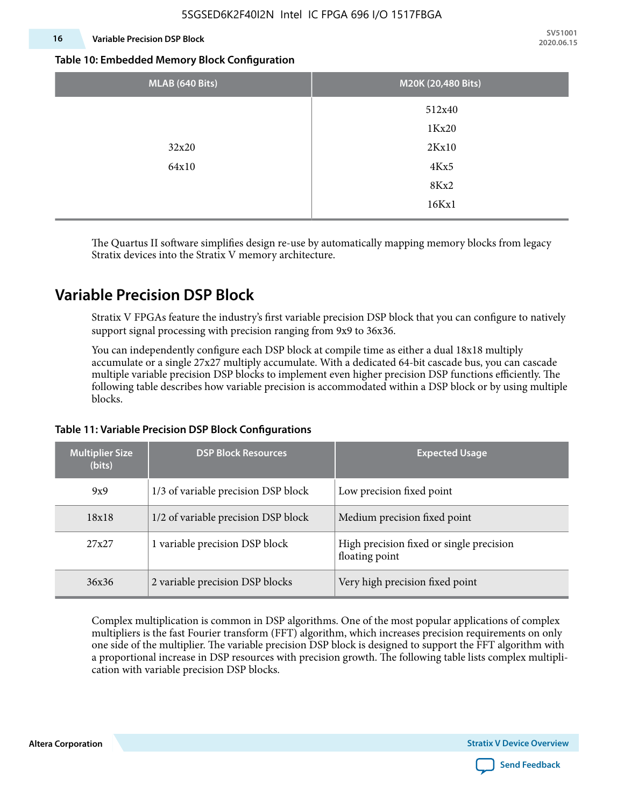#### **16 Variable Precision DSP Block**

**SV51001 2020.06.15**

#### **Table 10: Embedded Memory Block Configuration**

| MLAB (640 Bits) | M20K (20,480 Bits) |
|-----------------|--------------------|
|                 | 512x40             |
|                 | 1Kx20              |
| 32x20           | 2Kx10              |
| 64x10           | 4Kx5               |
|                 | 8Kx2               |
|                 | 16Kx1              |

The Quartus II software simplifies design re-use by automatically mapping memory blocks from legacy Stratix devices into the Stratix V memory architecture.

### **Variable Precision DSP Block**

Stratix V FPGAs feature the industry's first variable precision DSP block that you can configure to natively support signal processing with precision ranging from 9x9 to 36x36.

You can independently configure each DSP block at compile time as either a dual 18x18 multiply accumulate or a single 27x27 multiply accumulate. With a dedicated 64-bit cascade bus, you can cascade multiple variable precision DSP blocks to implement even higher precision DSP functions efficiently. The following table describes how variable precision is accommodated within a DSP block or by using multiple blocks.

| <b>Multiplier Size</b><br>(bits) | <b>DSP Block Resources</b>          | <b>Expected Usage</b>                                      |
|----------------------------------|-------------------------------------|------------------------------------------------------------|
| 9x9                              | 1/3 of variable precision DSP block | Low precision fixed point                                  |
| 18x18                            | 1/2 of variable precision DSP block | Medium precision fixed point                               |
| 27x27                            | 1 variable precision DSP block      | High precision fixed or single precision<br>floating point |
| 36x36                            | 2 variable precision DSP blocks     | Very high precision fixed point                            |

#### **Table 11: Variable Precision DSP Block Configurations**

Complex multiplication is common in DSP algorithms. One of the most popular applications of complex multipliers is the fast Fourier transform (FFT) algorithm, which increases precision requirements on only one side of the multiplier. The variable precision DSP block is designed to support the FFT algorithm with a proportional increase in DSP resources with precision growth. The following table lists complex multipli‐ cation with variable precision DSP blocks.

**Altera Corporation** 

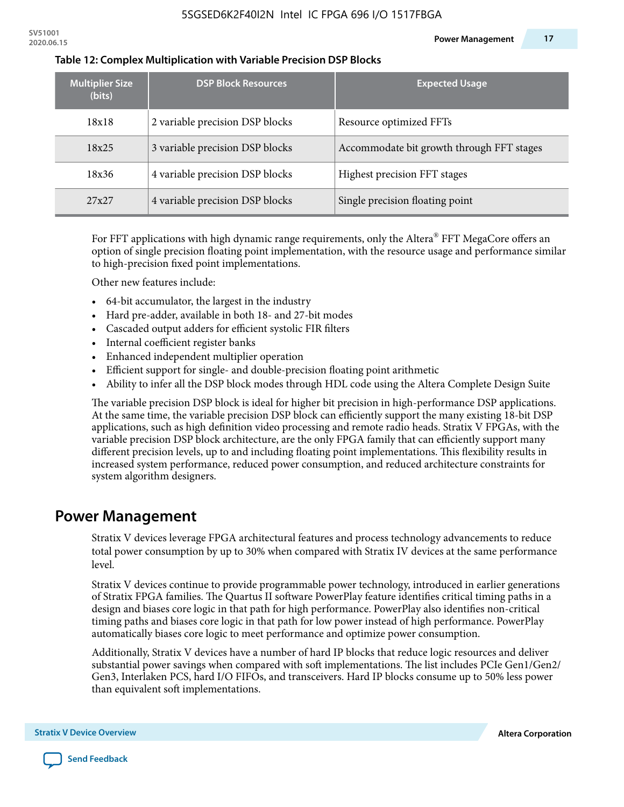| <b>Multiplier Size</b><br>(bits) | <b>DSP Block Resources</b>      | <b>Expected Usage</b>                     |
|----------------------------------|---------------------------------|-------------------------------------------|
| 18x18                            | 2 variable precision DSP blocks | Resource optimized FFTs                   |
| 18x25                            | 3 variable precision DSP blocks | Accommodate bit growth through FFT stages |
| 18x36                            | 4 variable precision DSP blocks | Highest precision FFT stages              |
| 27x27                            | 4 variable precision DSP blocks | Single precision floating point           |

#### **Table 12: Complex Multiplication with Variable Precision DSP Blocks**

For FFT applications with high dynamic range requirements, only the Altera $^\circ$  FFT MegaCore offers an option of single precision floating point implementation, with the resource usage and performance similar to high-precision fixed point implementations.

Other new features include:

- 64-bit accumulator, the largest in the industry
- Hard pre-adder, available in both 18- and 27-bit modes
- Cascaded output adders for efficient systolic FIR filters
- Internal coefficient register banks
- Enhanced independent multiplier operation
- Efficient support for single- and double-precision floating point arithmetic
- Ability to infer all the DSP block modes through HDL code using the Altera Complete Design Suite

The variable precision DSP block is ideal for higher bit precision in high-performance DSP applications. At the same time, the variable precision DSP block can efficiently support the many existing 18-bit DSP applications, such as high definition video processing and remote radio heads. Stratix V FPGAs, with the variable precision DSP block architecture, are the only FPGA family that can efficiently support many different precision levels, up to and including floating point implementations. This flexibility results in increased system performance, reduced power consumption, and reduced architecture constraints for system algorithm designers.

### **Power Management**

Stratix V devices leverage FPGA architectural features and process technology advancements to reduce total power consumption by up to 30% when compared with Stratix IV devices at the same performance level.

Stratix V devices continue to provide programmable power technology, introduced in earlier generations of Stratix FPGA families. The Quartus II software PowerPlay feature identifies critical timing paths in a design and biases core logic in that path for high performance. PowerPlay also identifies non-critical timing paths and biases core logic in that path for low power instead of high performance. PowerPlay automatically biases core logic to meet performance and optimize power consumption.

Additionally, Stratix V devices have a number of hard IP blocks that reduce logic resources and deliver substantial power savings when compared with soft implementations. The list includes PCIe Gen1/Gen2/ Gen3, Interlaken PCS, hard I/O FIFOs, and transceivers. Hard IP blocks consume up to 50% less power than equivalent soft implementations.

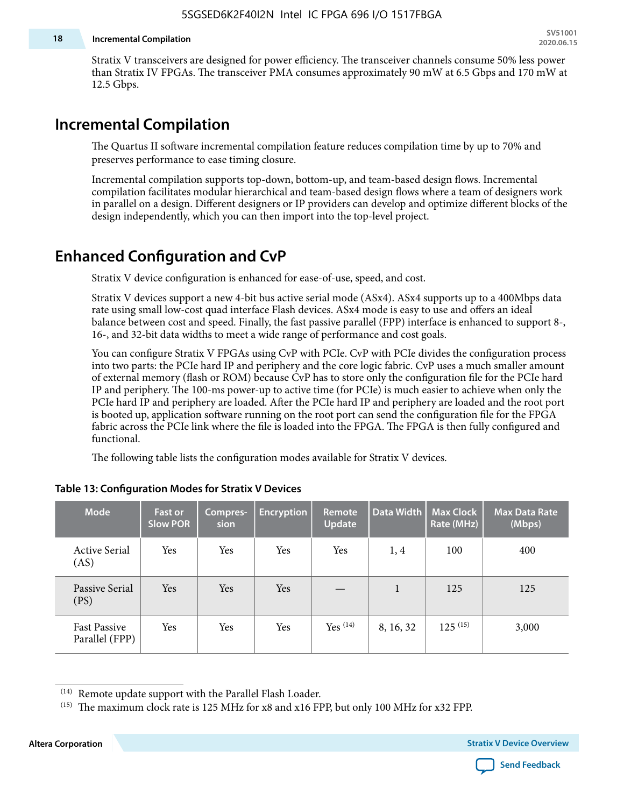#### **18 Incremental Compilation**

Stratix V transceivers are designed for power efficiency. The transceiver channels consume 50% less power than Stratix IV FPGAs. The transceiver PMA consumes approximately 90 mW at 6.5 Gbps and 170 mW at 12.5 Gbps.

### **Incremental Compilation**

The Quartus II software incremental compilation feature reduces compilation time by up to 70% and preserves performance to ease timing closure.

Incremental compilation supports top-down, bottom-up, and team-based design flows. Incremental compilation facilitates modular hierarchical and team-based design flows where a team of designers work in parallel on a design. Different designers or IP providers can develop and optimize different blocks of the design independently, which you can then import into the top-level project.

### **Enhanced Configuration and CvP**

Stratix V device configuration is enhanced for ease-of-use, speed, and cost.

Stratix V devices support a new 4-bit bus active serial mode (ASx4). ASx4 supports up to a 400Mbps data rate using small low-cost quad interface Flash devices. ASx4 mode is easy to use and offers an ideal balance between cost and speed. Finally, the fast passive parallel (FPP) interface is enhanced to support 8-, 16-, and 32-bit data widths to meet a wide range of performance and cost goals.

You can configure Stratix V FPGAs using CvP with PCIe. CvP with PCIe divides the configuration process into two parts: the PCIe hard IP and periphery and the core logic fabric. CvP uses a much smaller amount of external memory (flash or ROM) because CvP has to store only the configuration file for the PCIe hard IP and periphery. The 100-ms power-up to active time (for PCIe) is much easier to achieve when only the PCIe hard IP and periphery are loaded. After the PCIe hard IP and periphery are loaded and the root port is booted up, application software running on the root port can send the configuration file for the FPGA fabric across the PCIe link where the file is loaded into the FPGA. The FPGA is then fully configured and functional.

The following table lists the configuration modes available for Stratix V devices.

| <b>Mode</b>                           | <b>Fast or</b><br><b>Slow POR</b> | Compres-<br>sion | <b>Encryption</b> | <b>Remote</b><br><b>Update</b> | Data Width   | Max Clock<br>Rate (MHz) | <b>Max Data Rate</b><br>(Mbps) |
|---------------------------------------|-----------------------------------|------------------|-------------------|--------------------------------|--------------|-------------------------|--------------------------------|
| <b>Active Serial</b><br>(AS)          | Yes                               | Yes              | Yes               | Yes                            | 1, 4         | 100                     | 400                            |
| Passive Serial<br>(PS)                | Yes                               | Yes              | Yes               |                                | $\mathbf{1}$ | 125                     | 125                            |
| <b>Fast Passive</b><br>Parallel (FPP) | Yes                               | Yes              | Yes               | $Yes$ $(14)$                   | 8, 16, 32    | $125^{(15)}$            | 3,000                          |

#### **Table 13: Configuration Modes for Stratix V Devices**

<sup>(15)</sup> The maximum clock rate is 125 MHz for x8 and x16 FPP, but only 100 MHz for x32 FPP.

**Altera Corporation Stratix V Device Overview**



<sup>(14)</sup> Remote update support with the Parallel Flash Loader.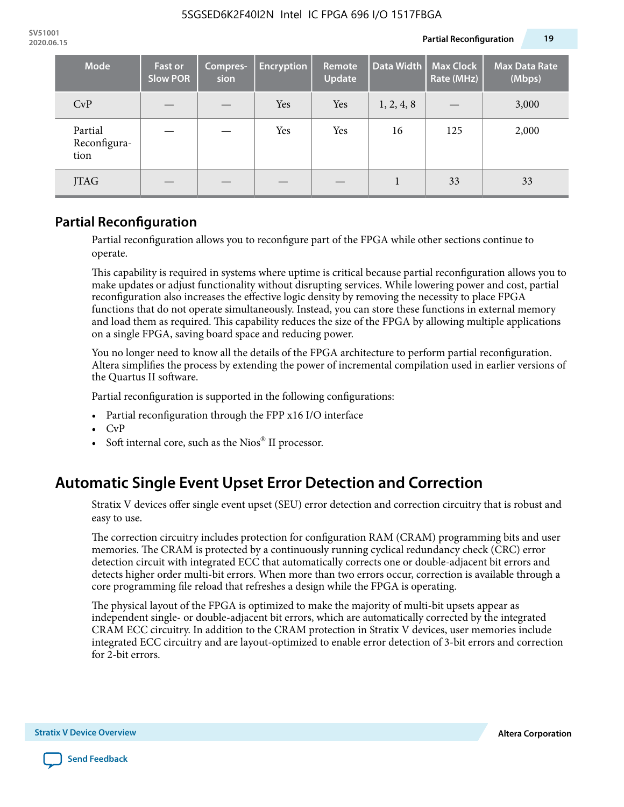| <b>Mode</b>                     | <b>Fast or</b><br><b>Slow POR</b> | Compres-<br>sion | <b>Encryption</b> | Remote<br><b>Update</b> | Data Width | <b>Max Clock</b><br>Rate (MHz) | <b>Max Data Rate</b><br>(Mbps) |
|---------------------------------|-----------------------------------|------------------|-------------------|-------------------------|------------|--------------------------------|--------------------------------|
| CvP                             |                                   |                  | Yes               | Yes                     | 1, 2, 4, 8 |                                | 3,000                          |
| Partial<br>Reconfigura-<br>tion |                                   |                  | Yes               | Yes                     | 16         | 125                            | 2,000                          |
| JTAG                            |                                   |                  |                   |                         |            | 33                             | 33                             |

### **Partial Reconfiguration**

Partial reconfiguration allows you to reconfigure part of the FPGA while other sections continue to operate.

This capability is required in systems where uptime is critical because partial reconfiguration allows you to make updates or adjust functionality without disrupting services. While lowering power and cost, partial reconfiguration also increases the effective logic density by removing the necessity to place FPGA functions that do not operate simultaneously. Instead, you can store these functions in external memory and load them as required. This capability reduces the size of the FPGA by allowing multiple applications on a single FPGA, saving board space and reducing power.

You no longer need to know all the details of the FPGA architecture to perform partial reconfiguration. Altera simplifies the process by extending the power of incremental compilation used in earlier versions of the Quartus II software.

Partial reconfiguration is supported in the following configurations:

- Partial reconfiguration through the FPP x16 I/O interface
- CvP
- Soft internal core, such as the Nios® II processor.

## **Automatic Single Event Upset Error Detection and Correction**

Stratix V devices offer single event upset (SEU) error detection and correction circuitry that is robust and easy to use.

The correction circuitry includes protection for configuration RAM (CRAM) programming bits and user memories. The CRAM is protected by a continuously running cyclical redundancy check (CRC) error detection circuit with integrated ECC that automatically corrects one or double-adjacent bit errors and detects higher order multi-bit errors. When more than two errors occur, correction is available through a core programming file reload that refreshes a design while the FPGA is operating.

The physical layout of the FPGA is optimized to make the majority of multi-bit upsets appear as independent single- or double-adjacent bit errors, which are automatically corrected by the integrated CRAM ECC circuitry. In addition to the CRAM protection in Stratix V devices, user memories include integrated ECC circuitry and are layout-optimized to enable error detection of 3-bit errors and correction for 2-bit errors.

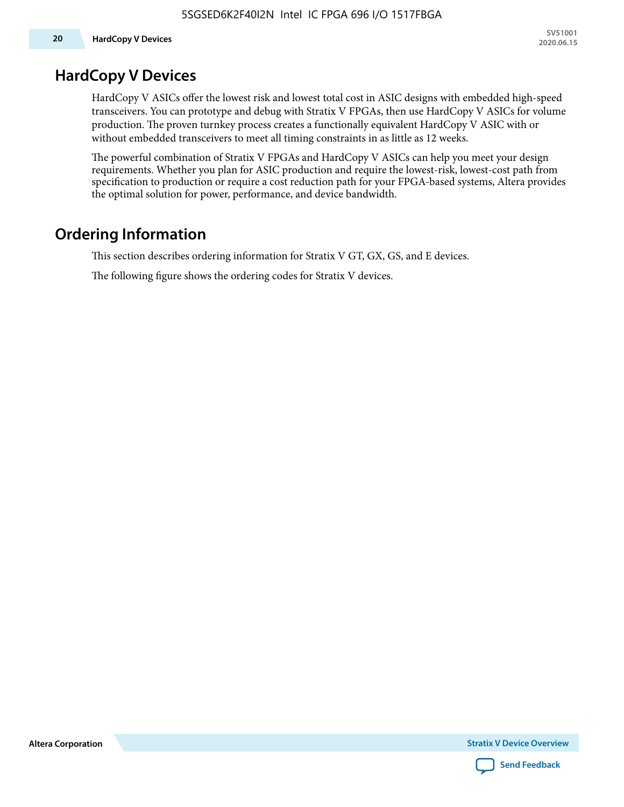### **HardCopy V Devices**

HardCopy V ASICs offer the lowest risk and lowest total cost in ASIC designs with embedded high-speed transceivers. You can prototype and debug with Stratix V FPGAs, then use HardCopy V ASICs for volume production. The proven turnkey process creates a functionally equivalent HardCopy V ASIC with or without embedded transceivers to meet all timing constraints in as little as 12 weeks.

The powerful combination of Stratix V FPGAs and HardCopy V ASICs can help you meet your design requirements. Whether you plan for ASIC production and require the lowest-risk, lowest-cost path from specification to production or require a cost reduction path for your FPGA-based systems, Altera provides the optimal solution for power, performance, and device bandwidth.

## **Ordering Information**

This section describes ordering information for Stratix V GT, GX, GS, and E devices.

The following figure shows the ordering codes for Stratix V devices.

**Altera Corporation** 

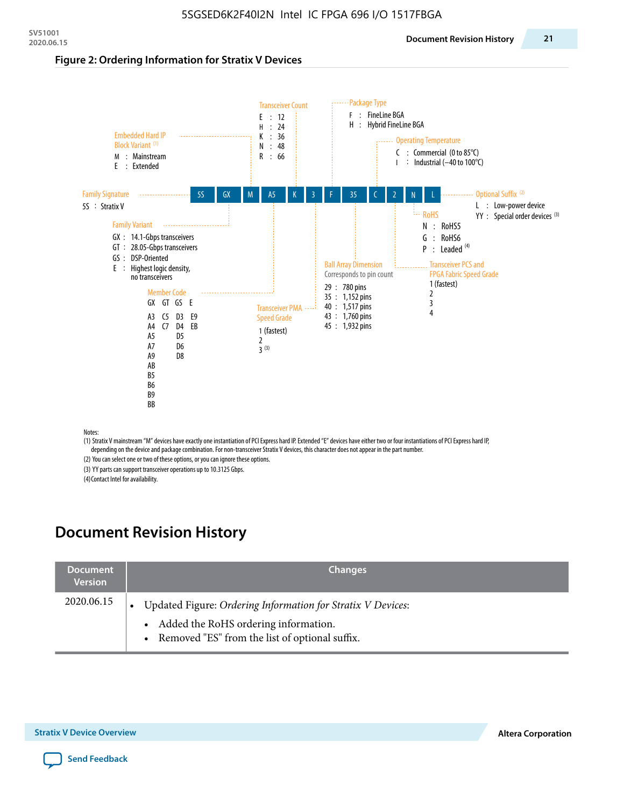#### **Figure 2: Ordering Information for Stratix V Devices**



(1) Stratix V mainstream "M" devices have exactly one instantiation of PCI Express hard IP. Extended "E" devices have either two or four instantiations of PCI Express hard IP, depending on the device and package combination. For non-transceiver Stratix V devices, this character does not appear in the part number.

(2) You can select one or two of these options, or you can ignore these options.

(3) YY parts can support transceiver operations up to 10.3125 Gbps.

(4) Contact Intel for availability.

# **Document Revision History**

| <b>Document</b><br><b>Version</b> | <b>Changes</b>                                                                                                                                            |
|-----------------------------------|-----------------------------------------------------------------------------------------------------------------------------------------------------------|
| 2020.06.15                        | Updated Figure: Ordering Information for Stratix V Devices:<br>• Added the RoHS ordering information.<br>• Removed "ES" from the list of optional suffix. |

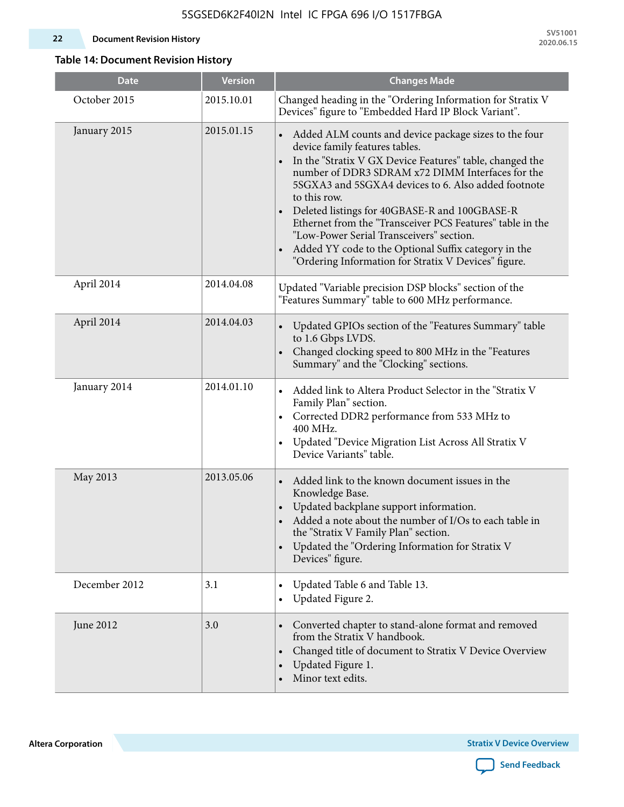#### **22 Document Revision History**

**SV51001 2020.06.15**

#### **Table 14: Document Revision History**

| <b>Date</b>   | <b>Version</b> | <b>Changes Made</b>                                                                                                                                                                                                                                                                                                                                                                                                                                                                                                                                                   |
|---------------|----------------|-----------------------------------------------------------------------------------------------------------------------------------------------------------------------------------------------------------------------------------------------------------------------------------------------------------------------------------------------------------------------------------------------------------------------------------------------------------------------------------------------------------------------------------------------------------------------|
| October 2015  | 2015.10.01     | Changed heading in the "Ordering Information for Stratix V<br>Devices" figure to "Embedded Hard IP Block Variant".                                                                                                                                                                                                                                                                                                                                                                                                                                                    |
| January 2015  | 2015.01.15     | Added ALM counts and device package sizes to the four<br>$\bullet$<br>device family features tables.<br>In the "Stratix V GX Device Features" table, changed the<br>number of DDR3 SDRAM x72 DIMM Interfaces for the<br>5SGXA3 and 5SGXA4 devices to 6. Also added footnote<br>to this row.<br>Deleted listings for 40GBASE-R and 100GBASE-R<br>Ethernet from the "Transceiver PCS Features" table in the<br>"Low-Power Serial Transceivers" section.<br>Added YY code to the Optional Suffix category in the<br>"Ordering Information for Stratix V Devices" figure. |
| April 2014    | 2014.04.08     | Updated "Variable precision DSP blocks" section of the<br>"Features Summary" table to 600 MHz performance.                                                                                                                                                                                                                                                                                                                                                                                                                                                            |
| April 2014    | 2014.04.03     | Updated GPIOs section of the "Features Summary" table<br>$\bullet$<br>to 1.6 Gbps LVDS.<br>Changed clocking speed to 800 MHz in the "Features<br>Summary" and the "Clocking" sections.                                                                                                                                                                                                                                                                                                                                                                                |
| January 2014  | 2014.01.10     | Added link to Altera Product Selector in the "Stratix V<br>Family Plan" section.<br>Corrected DDR2 performance from 533 MHz to<br>$\bullet$<br>400 MHz.<br>Updated "Device Migration List Across All Stratix V<br>$\bullet$<br>Device Variants" table.                                                                                                                                                                                                                                                                                                                |
| May 2013      | 2013.05.06     | Added link to the known document issues in the<br>Knowledge Base.<br>Updated backplane support information.<br>$\bullet$<br>Added a note about the number of I/Os to each table in<br>the "Stratix V Family Plan" section.<br>Updated the "Ordering Information for Stratix V<br>$\bullet$<br>Devices" figure.                                                                                                                                                                                                                                                        |
| December 2012 | 3.1            | Updated Table 6 and Table 13.<br>$\bullet$<br>Updated Figure 2.<br>$\bullet$                                                                                                                                                                                                                                                                                                                                                                                                                                                                                          |
| June 2012     | 3.0            | Converted chapter to stand-alone format and removed<br>$\bullet$<br>from the Stratix V handbook.<br>Changed title of document to Stratix V Device Overview<br>$\bullet$<br>Updated Figure 1.<br>Minor text edits.                                                                                                                                                                                                                                                                                                                                                     |

**Altera Corporation** 

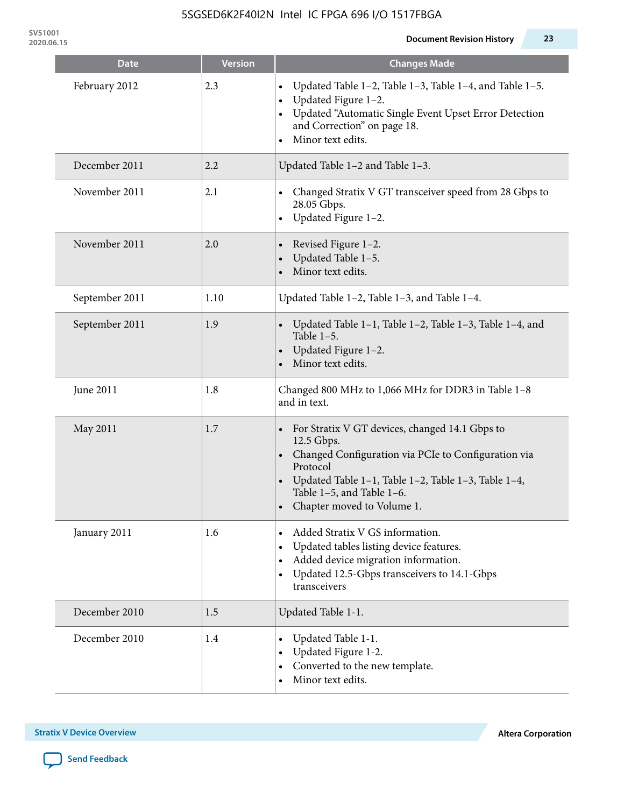| <b>Date</b>    | <b>Version</b> | <b>Changes Made</b>                                                                                                                                                                                                                                 |
|----------------|----------------|-----------------------------------------------------------------------------------------------------------------------------------------------------------------------------------------------------------------------------------------------------|
| February 2012  | 2.3            | Updated Table 1-2, Table 1-3, Table 1-4, and Table 1-5.<br>Updated Figure 1-2.<br>Updated "Automatic Single Event Upset Error Detection<br>and Correction" on page 18.<br>Minor text edits.                                                         |
| December 2011  | 2.2            | Updated Table 1-2 and Table 1-3.                                                                                                                                                                                                                    |
| November 2011  | 2.1            | Changed Stratix V GT transceiver speed from 28 Gbps to<br>28.05 Gbps.<br>Updated Figure 1-2.                                                                                                                                                        |
| November 2011  | 2.0            | Revised Figure 1-2.<br>Updated Table 1-5.<br>Minor text edits.                                                                                                                                                                                      |
| September 2011 | 1.10           | Updated Table 1-2, Table 1-3, and Table 1-4.                                                                                                                                                                                                        |
| September 2011 | 1.9            | Updated Table 1-1, Table 1-2, Table 1-3, Table 1-4, and<br>Table $1-5$ .<br>Updated Figure 1-2.<br>Minor text edits.                                                                                                                                |
| June 2011      | 1.8            | Changed 800 MHz to 1,066 MHz for DDR3 in Table 1-8<br>and in text.                                                                                                                                                                                  |
| May 2011       | 1.7            | For Stratix V GT devices, changed 14.1 Gbps to<br>12.5 Gbps.<br>• Changed Configuration via PCIe to Configuration via<br>Protocol<br>Updated Table 1–1, Table 1–2, Table 1–3, Table 1–4,<br>Table 1-5, and Table 1-6.<br>Chapter moved to Volume 1. |
| January 2011   | 1.6            | Added Stratix V GS information.<br>Updated tables listing device features.<br>Added device migration information.<br>Updated 12.5-Gbps transceivers to 14.1-Gbps<br>transceivers                                                                    |
| December 2010  | 1.5            | Updated Table 1-1.                                                                                                                                                                                                                                  |
| December 2010  | 1.4            | Updated Table 1-1.<br>Updated Figure 1-2.<br>Converted to the new template.<br>Minor text edits.                                                                                                                                                    |

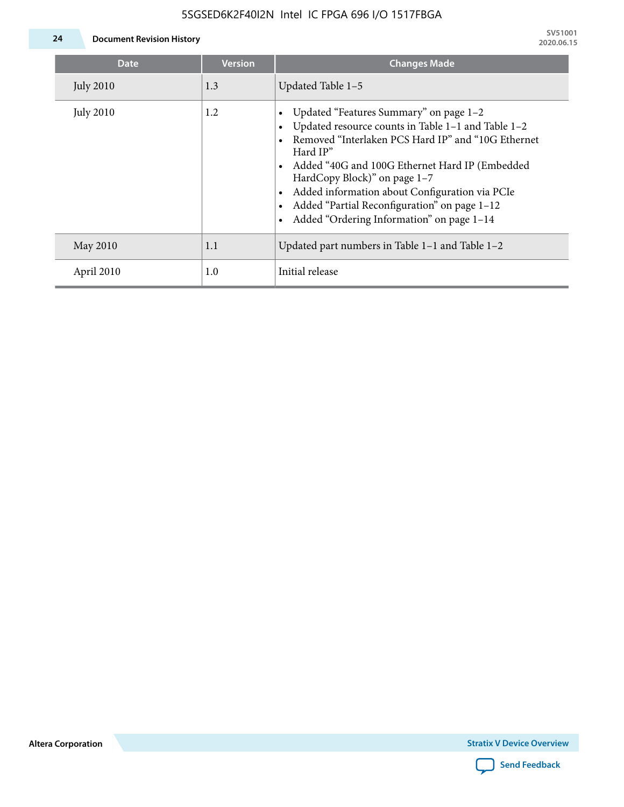#### 5SGSED6K2F40I2N Intel IC FPGA 696 I/O 1517FBGA



**24 Document Revision History**

| <b>Date</b>      | <b>Version</b> | <b>Changes Made</b>                                                                                                                                                                                                                                                                                                                                                                             |
|------------------|----------------|-------------------------------------------------------------------------------------------------------------------------------------------------------------------------------------------------------------------------------------------------------------------------------------------------------------------------------------------------------------------------------------------------|
| <b>July 2010</b> | 1.3            | Updated Table 1-5                                                                                                                                                                                                                                                                                                                                                                               |
| <b>July 2010</b> | 1.2            | Updated "Features Summary" on page 1-2<br>Updated resource counts in Table 1-1 and Table 1-2<br>Removed "Interlaken PCS Hard IP" and "10G Ethernet<br>Hard IP"<br>Added "40G and 100G Ethernet Hard IP (Embedded<br>HardCopy Block)" on page 1-7<br>Added information about Configuration via PCIe<br>Added "Partial Reconfiguration" on page 1-12<br>Added "Ordering Information" on page 1-14 |
| May 2010         | 1.1            | Updated part numbers in Table $1-1$ and Table $1-2$                                                                                                                                                                                                                                                                                                                                             |
| April 2010       | 1.0            | Initial release                                                                                                                                                                                                                                                                                                                                                                                 |

**Altera Corporation**